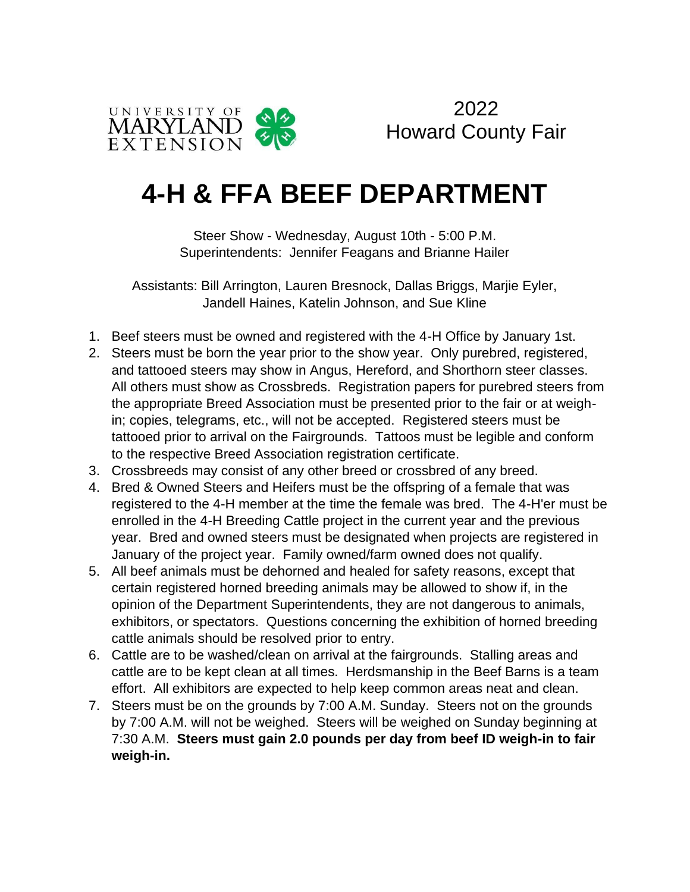

2022 Howard County Fair

# **4-H & FFA BEEF DEPARTMENT**

Steer Show - Wednesday, August 10th - 5:00 P.M. Superintendents: Jennifer Feagans and Brianne Hailer

Assistants: Bill Arrington, Lauren Bresnock, Dallas Briggs, Marjie Eyler, Jandell Haines, Katelin Johnson, and Sue Kline

- 1. Beef steers must be owned and registered with the 4-H Office by January 1st.
- 2. Steers must be born the year prior to the show year. Only purebred, registered, and tattooed steers may show in Angus, Hereford, and Shorthorn steer classes. All others must show as Crossbreds. Registration papers for purebred steers from the appropriate Breed Association must be presented prior to the fair or at weighin; copies, telegrams, etc., will not be accepted. Registered steers must be tattooed prior to arrival on the Fairgrounds. Tattoos must be legible and conform to the respective Breed Association registration certificate.
- 3. Crossbreeds may consist of any other breed or crossbred of any breed.
- 4. Bred & Owned Steers and Heifers must be the offspring of a female that was registered to the 4-H member at the time the female was bred. The 4-H'er must be enrolled in the 4-H Breeding Cattle project in the current year and the previous year. Bred and owned steers must be designated when projects are registered in January of the project year. Family owned/farm owned does not qualify.
- 5. All beef animals must be dehorned and healed for safety reasons, except that certain registered horned breeding animals may be allowed to show if, in the opinion of the Department Superintendents, they are not dangerous to animals, exhibitors, or spectators. Questions concerning the exhibition of horned breeding cattle animals should be resolved prior to entry.
- 6. Cattle are to be washed/clean on arrival at the fairgrounds. Stalling areas and cattle are to be kept clean at all times. Herdsmanship in the Beef Barns is a team effort. All exhibitors are expected to help keep common areas neat and clean.
- 7. Steers must be on the grounds by 7:00 A.M. Sunday. Steers not on the grounds by 7:00 A.M. will not be weighed. Steers will be weighed on Sunday beginning at 7:30 A.M. **Steers must gain 2.0 pounds per day from beef ID weigh-in to fair weigh-in.**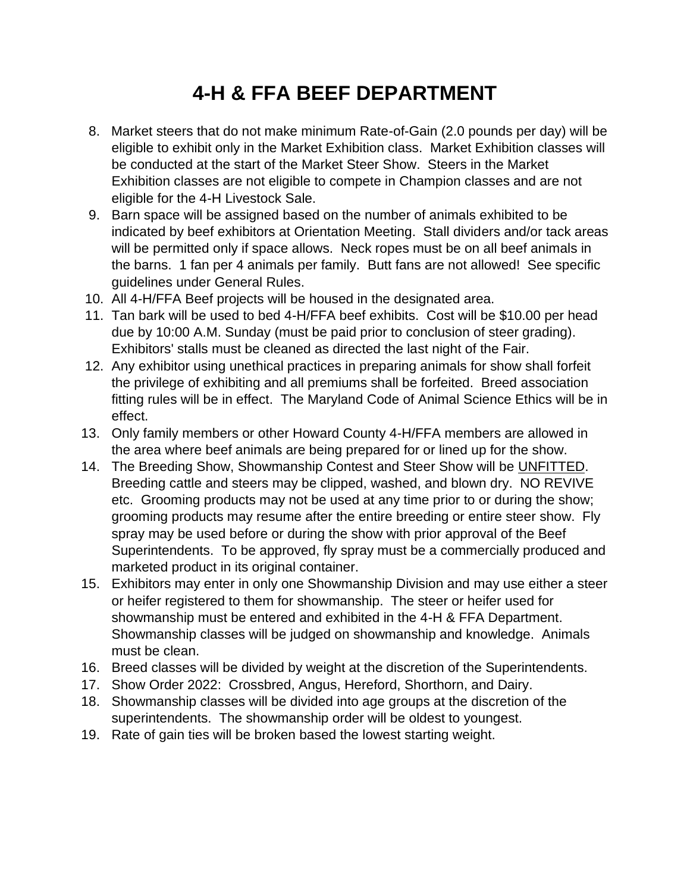## **4-H & FFA BEEF DEPARTMENT**

- 8. Market steers that do not make minimum Rate-of-Gain (2.0 pounds per day) will be eligible to exhibit only in the Market Exhibition class. Market Exhibition classes will be conducted at the start of the Market Steer Show. Steers in the Market Exhibition classes are not eligible to compete in Champion classes and are not eligible for the 4-H Livestock Sale.
- 9. Barn space will be assigned based on the number of animals exhibited to be indicated by beef exhibitors at Orientation Meeting. Stall dividers and/or tack areas will be permitted only if space allows. Neck ropes must be on all beef animals in the barns. 1 fan per 4 animals per family. Butt fans are not allowed! See specific guidelines under General Rules.
- 10. All 4-H/FFA Beef projects will be housed in the designated area.
- 11. Tan bark will be used to bed 4-H/FFA beef exhibits. Cost will be \$10.00 per head due by 10:00 A.M. Sunday (must be paid prior to conclusion of steer grading). Exhibitors' stalls must be cleaned as directed the last night of the Fair.
- 12. Any exhibitor using unethical practices in preparing animals for show shall forfeit the privilege of exhibiting and all premiums shall be forfeited. Breed association fitting rules will be in effect. The Maryland Code of Animal Science Ethics will be in effect.
- 13. Only family members or other Howard County 4-H/FFA members are allowed in the area where beef animals are being prepared for or lined up for the show.
- 14. The Breeding Show, Showmanship Contest and Steer Show will be UNFITTED. Breeding cattle and steers may be clipped, washed, and blown dry. NO REVIVE etc. Grooming products may not be used at any time prior to or during the show; grooming products may resume after the entire breeding or entire steer show. Fly spray may be used before or during the show with prior approval of the Beef Superintendents. To be approved, fly spray must be a commercially produced and marketed product in its original container.
- 15. Exhibitors may enter in only one Showmanship Division and may use either a steer or heifer registered to them for showmanship. The steer or heifer used for showmanship must be entered and exhibited in the 4-H & FFA Department. Showmanship classes will be judged on showmanship and knowledge. Animals must be clean.
- 16. Breed classes will be divided by weight at the discretion of the Superintendents.
- 17. Show Order 2022: Crossbred, Angus, Hereford, Shorthorn, and Dairy.
- 18. Showmanship classes will be divided into age groups at the discretion of the superintendents. The showmanship order will be oldest to youngest.
- 19. Rate of gain ties will be broken based the lowest starting weight.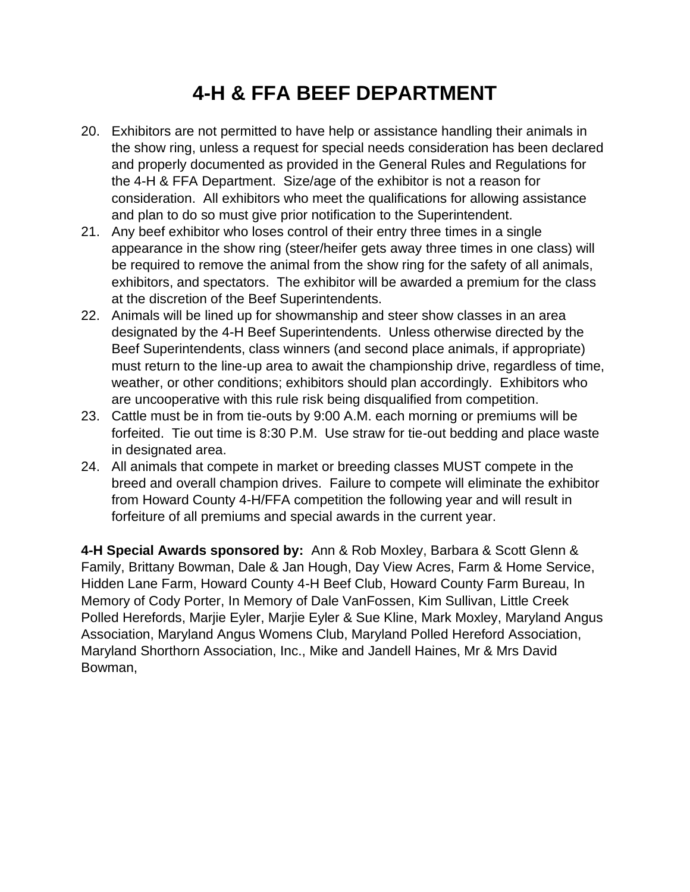### **4-H & FFA BEEF DEPARTMENT**

- 20. Exhibitors are not permitted to have help or assistance handling their animals in the show ring, unless a request for special needs consideration has been declared and properly documented as provided in the General Rules and Regulations for the 4-H & FFA Department. Size/age of the exhibitor is not a reason for consideration. All exhibitors who meet the qualifications for allowing assistance and plan to do so must give prior notification to the Superintendent.
- 21. Any beef exhibitor who loses control of their entry three times in a single appearance in the show ring (steer/heifer gets away three times in one class) will be required to remove the animal from the show ring for the safety of all animals, exhibitors, and spectators. The exhibitor will be awarded a premium for the class at the discretion of the Beef Superintendents.
- 22. Animals will be lined up for showmanship and steer show classes in an area designated by the 4-H Beef Superintendents. Unless otherwise directed by the Beef Superintendents, class winners (and second place animals, if appropriate) must return to the line-up area to await the championship drive, regardless of time, weather, or other conditions; exhibitors should plan accordingly. Exhibitors who are uncooperative with this rule risk being disqualified from competition.
- 23. Cattle must be in from tie-outs by 9:00 A.M. each morning or premiums will be forfeited. Tie out time is 8:30 P.M. Use straw for tie-out bedding and place waste in designated area.
- 24. All animals that compete in market or breeding classes MUST compete in the breed and overall champion drives. Failure to compete will eliminate the exhibitor from Howard County 4-H/FFA competition the following year and will result in forfeiture of all premiums and special awards in the current year.

**4-H Special Awards sponsored by:** Ann & Rob Moxley, Barbara & Scott Glenn & Family, Brittany Bowman, Dale & Jan Hough, Day View Acres, Farm & Home Service, Hidden Lane Farm, Howard County 4-H Beef Club, Howard County Farm Bureau, In Memory of Cody Porter, In Memory of Dale VanFossen, Kim Sullivan, Little Creek Polled Herefords, Marjie Eyler, Marjie Eyler & Sue Kline, Mark Moxley, Maryland Angus Association, Maryland Angus Womens Club, Maryland Polled Hereford Association, Maryland Shorthorn Association, Inc., Mike and Jandell Haines, Mr & Mrs David Bowman,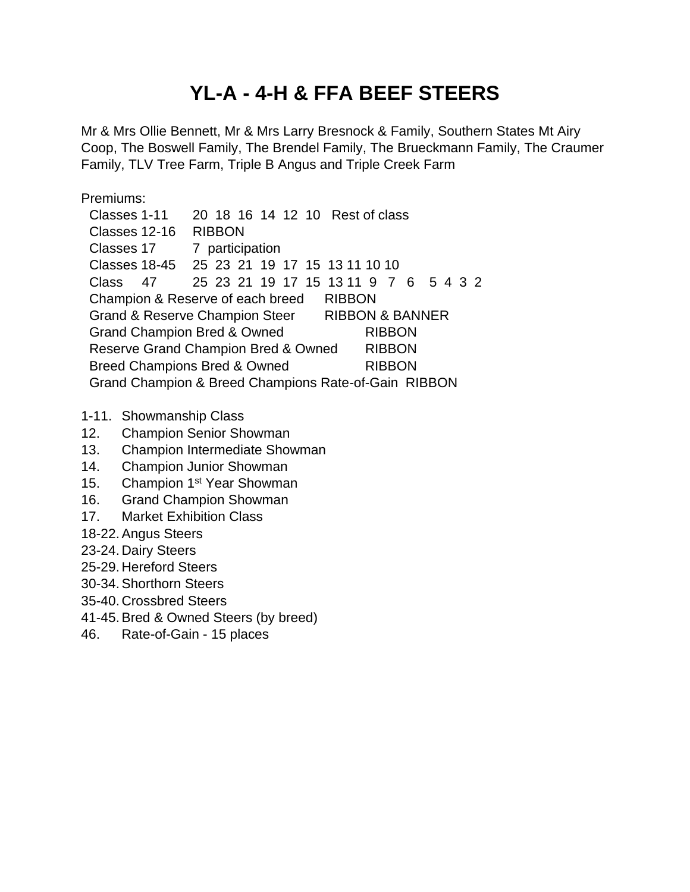#### **YL-A - 4-H & FFA BEEF STEERS**

Mr & Mrs Ollie Bennett, Mr & Mrs Larry Bresnock & Family, Southern States Mt Airy Coop, The Boswell Family, The Brendel Family, The Brueckmann Family, The Craumer Family, TLV Tree Farm, Triple B Angus and Triple Creek Farm

Premiums:

Classes 1-11 20 18 16 14 12 10 Rest of class Classes 12-16 RIBBON Classes 17 7 participation Classes 18-45 25 23 21 19 17 15 13 11 10 10 Class 47 25 23 21 19 17 15 13 11 9 7 6 5 4 3 2 Champion & Reserve of each breed RIBBON Grand & Reserve Champion Steer RIBBON & BANNER Grand Champion Bred & Owned RIBBON Reserve Grand Champion Bred & Owned RIBBON Breed Champions Bred & Owned RIBBON Grand Champion & Breed Champions Rate-of-Gain RIBBON

- 1-11. Showmanship Class
- 12. Champion Senior Showman
- 13. Champion Intermediate Showman
- 14. Champion Junior Showman
- 15. Champion 1<sup>st</sup> Year Showman
- 16. Grand Champion Showman
- 17. Market Exhibition Class
- 18-22.Angus Steers
- 23-24. Dairy Steers
- 25-29. Hereford Steers
- 30-34.Shorthorn Steers
- 35-40. Crossbred Steers
- 41-45.Bred & Owned Steers (by breed)
- 46. Rate-of-Gain 15 places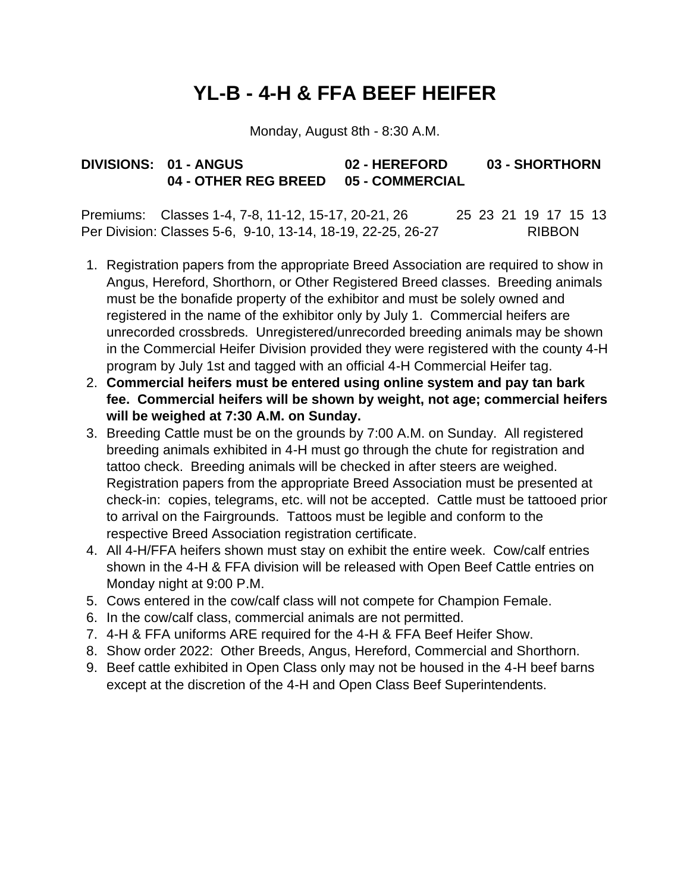### **YL-B - 4-H & FFA BEEF HEIFER**

Monday, August 8th - 8:30 A.M.

#### **DIVISIONS: 01 - ANGUS 02 - HEREFORD 03 - SHORTHORN 04 - OTHER REG BREED 05 - COMMERCIAL**

Premiums: Classes 1-4, 7-8, 11-12, 15-17, 20-21, 26 25 23 21 19 17 15 13 Per Division: Classes 5-6, 9-10, 13-14, 18-19, 22-25, 26-27 RIBBON

- 1. Registration papers from the appropriate Breed Association are required to show in Angus, Hereford, Shorthorn, or Other Registered Breed classes. Breeding animals must be the bonafide property of the exhibitor and must be solely owned and registered in the name of the exhibitor only by July 1. Commercial heifers are unrecorded crossbreds. Unregistered/unrecorded breeding animals may be shown in the Commercial Heifer Division provided they were registered with the county 4-H program by July 1st and tagged with an official 4-H Commercial Heifer tag.
- 2. **Commercial heifers must be entered using online system and pay tan bark fee. Commercial heifers will be shown by weight, not age; commercial heifers will be weighed at 7:30 A.M. on Sunday.**
- 3. Breeding Cattle must be on the grounds by 7:00 A.M. on Sunday. All registered breeding animals exhibited in 4-H must go through the chute for registration and tattoo check. Breeding animals will be checked in after steers are weighed. Registration papers from the appropriate Breed Association must be presented at check-in: copies, telegrams, etc. will not be accepted. Cattle must be tattooed prior to arrival on the Fairgrounds. Tattoos must be legible and conform to the respective Breed Association registration certificate.
- 4. All 4-H/FFA heifers shown must stay on exhibit the entire week. Cow/calf entries shown in the 4-H & FFA division will be released with Open Beef Cattle entries on Monday night at 9:00 P.M.
- 5. Cows entered in the cow/calf class will not compete for Champion Female.
- 6. In the cow/calf class, commercial animals are not permitted.
- 7. 4-H & FFA uniforms ARE required for the 4-H & FFA Beef Heifer Show.
- 8. Show order 2022: Other Breeds, Angus, Hereford, Commercial and Shorthorn.
- 9. Beef cattle exhibited in Open Class only may not be housed in the 4-H beef barns except at the discretion of the 4-H and Open Class Beef Superintendents.